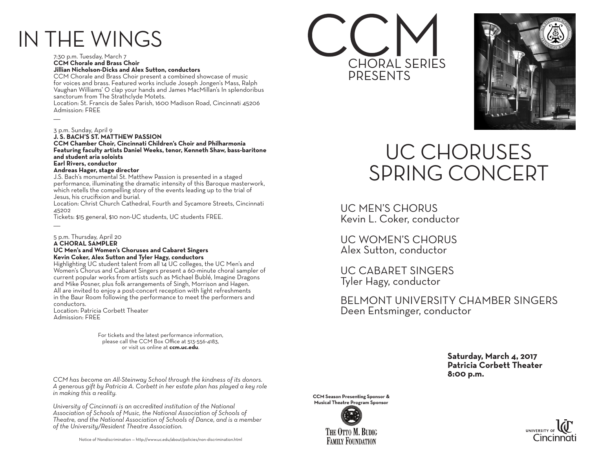# IN THE WINGS

7:30 p.m. Tuesday, March 7 **CCM Chorale and Brass Choir Jillian Nicholson-Dicks and Alex Sutton, conductors**

CCM Chorale and Brass Choir present a combined showcase of music for voices and brass. Featured works include Joseph Jongen's Mass, Ralph Vaughan Williams' O clap your hands and James MacMillan's In splendoribus sanctorum from The Strathclyde Motets.

Location: St. Francis de Sales Parish, 1600 Madison Road, Cincinnati 45206 Admission: FREE

 $\overline{a}$ 

 $\overline{a}$ 

#### 3 p.m. Sunday, April 9

**J. S. BACH'S ST. MATTHEW PASSION**

**CCM Chamber Choir, Cincinnati Children's Choir and Philharmonia Featuring faculty artists Daniel Weeks, tenor, Kenneth Shaw, bass-baritone and student aria soloists Earl Rivers, conductor**

#### **Andreas Hager, stage director**

J.S. Bach's monumental St. Matthew Passion is presented in a staged performance, illuminating the dramatic intensity of this Baroque masterwork, which retells the compelling story of the events leading up to the trial of Jesus, his crucifixion and burial.

Location: Christ Church Cathedral, Fourth and Sycamore Streets, Cincinnati 45202

Tickets: \$15 general, \$10 non-UC students, UC students FREE.

### 5 p.m. Thursday, April 20

#### **A CHORAL SAMPLER UC Men's and Women's Choruses and Cabaret Singers Kevin Coker, Alex Sutton and Tyler Hagy, conductors**

Highlighting UC student talent from all 14 UC colleges, the UC Men's and Women's Chorus and Cabaret Singers present a 60-minute choral sampler of current popular works from artists such as Michael Bublé, Imagine Dragons and Mike Posner, plus folk arrangements of Singh, Morrison and Hagen. All are invited to enjoy a post-concert reception with light refreshments In the Baur Room following the performance to meet the performers and conductors. Location: Patricia Corbett Theater

Admission: FREE

For tickets and the latest performance information, please call the CCM Box Office at 513-556-4183, or visit us online at **ccm.uc.edu**.

**Patricia** CCM has become an All-Steinway School through the kindness of its donors. *A generous gift by Patricia A. Corbett in her estate plan has played a key role in making this a reality.*

*University of Cincinnati is an accredited institution of the National Association of Schools of Music, the National Association of Schools of Theatre, and the National Association of Schools of Dance, and is a member of the University/Resident Theatre Association.*





# UC CHORUSES SPRING CONCERT

UC MEN'S CHORUS Kevin L. Coker, conductor

UC WOMEN'S CHORUS Alex Sutton, conductor

UC CABARET SINGERS Tyler Hagy, conductor

## BELMONT UNIVERSITY CHAMBER SINGERS Deen Entsminger, conductor  $\overline{\overline{C}}$

**Saturday, March 4, 2017**

**CCM Season Presenting Sponsor & Musical Theatre Program Sponsor**